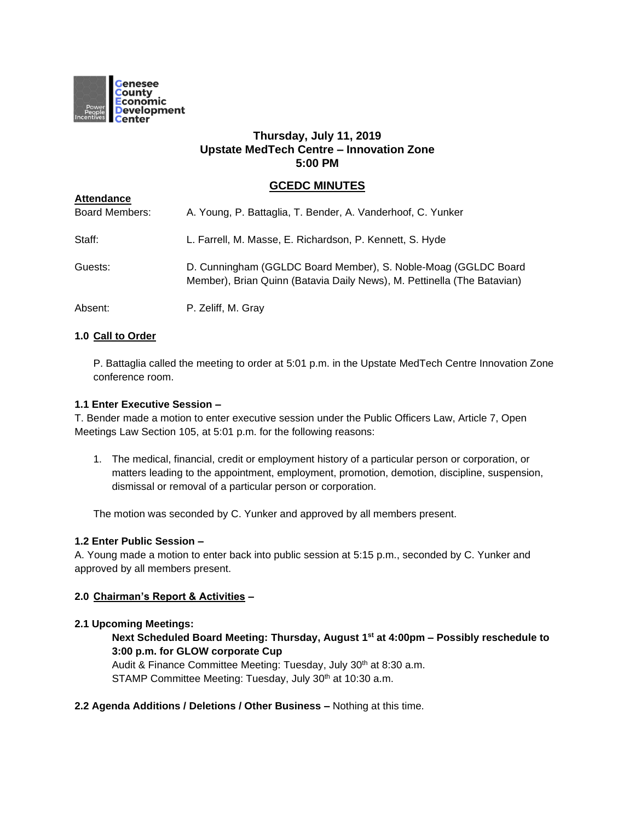

# **Thursday, July 11, 2019 Upstate MedTech Centre – Innovation Zone 5:00 PM**

# **GCEDC MINUTES**

| <b>AUVINAIDU</b>      |                                                                                                                                           |
|-----------------------|-------------------------------------------------------------------------------------------------------------------------------------------|
| <b>Board Members:</b> | A. Young, P. Battaglia, T. Bender, A. Vanderhoof, C. Yunker                                                                               |
| Staff:                | L. Farrell, M. Masse, E. Richardson, P. Kennett, S. Hyde                                                                                  |
| Guests:               | D. Cunningham (GGLDC Board Member), S. Noble-Moag (GGLDC Board<br>Member), Brian Quinn (Batavia Daily News), M. Pettinella (The Batavian) |
| Absent:               | P. Zeliff, M. Gray                                                                                                                        |

# **1.0 Call to Order**

**Attendance**

P. Battaglia called the meeting to order at 5:01 p.m. in the Upstate MedTech Centre Innovation Zone conference room.

### **1.1 Enter Executive Session –**

T. Bender made a motion to enter executive session under the Public Officers Law, Article 7, Open Meetings Law Section 105, at 5:01 p.m. for the following reasons:

1. The medical, financial, credit or employment history of a particular person or corporation, or matters leading to the appointment, employment, promotion, demotion, discipline, suspension, dismissal or removal of a particular person or corporation.

The motion was seconded by C. Yunker and approved by all members present.

# **1.2 Enter Public Session –**

A. Young made a motion to enter back into public session at 5:15 p.m., seconded by C. Yunker and approved by all members present.

### **2.0 Chairman's Report & Activities –**

### **2.1 Upcoming Meetings:**

# **Next Scheduled Board Meeting: Thursday, August 1st at 4:00pm – Possibly reschedule to 3:00 p.m. for GLOW corporate Cup**

Audit & Finance Committee Meeting: Tuesday, July 30<sup>th</sup> at 8:30 a.m. STAMP Committee Meeting: Tuesday, July 30<sup>th</sup> at 10:30 a.m.

### **2.2 Agenda Additions / Deletions / Other Business –** Nothing at this time.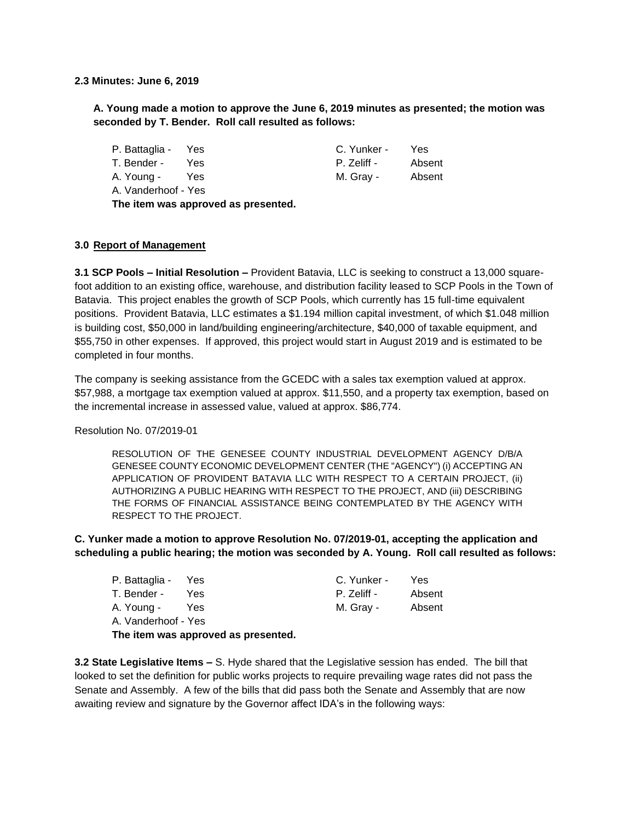**2.3 Minutes: June 6, 2019**

**A. Young made a motion to approve the June 6, 2019 minutes as presented; the motion was seconded by T. Bender. Roll call resulted as follows:**

| P. Battaglia - Yes  |            |  | C. Yunker - | Yes    |
|---------------------|------------|--|-------------|--------|
| T. Bender -         | Yes.       |  | P. Zeliff - | Absent |
| A. Young -          | <b>Yes</b> |  | M. Gray -   | Absent |
| A. Vanderhoof - Yes |            |  |             |        |
|                     |            |  |             |        |

**The item was approved as presented.**

### **3.0 Report of Management**

**3.1 SCP Pools – Initial Resolution –** Provident Batavia, LLC is seeking to construct a 13,000 squarefoot addition to an existing office, warehouse, and distribution facility leased to SCP Pools in the Town of Batavia. This project enables the growth of SCP Pools, which currently has 15 full-time equivalent positions. Provident Batavia, LLC estimates a \$1.194 million capital investment, of which \$1.048 million is building cost, \$50,000 in land/building engineering/architecture, \$40,000 of taxable equipment, and \$55,750 in other expenses. If approved, this project would start in August 2019 and is estimated to be completed in four months.

The company is seeking assistance from the GCEDC with a sales tax exemption valued at approx. \$57,988, a mortgage tax exemption valued at approx. \$11,550, and a property tax exemption, based on the incremental increase in assessed value, valued at approx. \$86,774.

Resolution No. 07/2019-01

RESOLUTION OF THE GENESEE COUNTY INDUSTRIAL DEVELOPMENT AGENCY D/B/A GENESEE COUNTY ECONOMIC DEVELOPMENT CENTER (THE "AGENCY") (i) ACCEPTING AN APPLICATION OF PROVIDENT BATAVIA LLC WITH RESPECT TO A CERTAIN PROJECT, (ii) AUTHORIZING A PUBLIC HEARING WITH RESPECT TO THE PROJECT, AND (iii) DESCRIBING THE FORMS OF FINANCIAL ASSISTANCE BEING CONTEMPLATED BY THE AGENCY WITH RESPECT TO THE PROJECT.

**C. Yunker made a motion to approve Resolution No. 07/2019-01, accepting the application and scheduling a public hearing; the motion was seconded by A. Young. Roll call resulted as follows:**

| P. Battaglia - Yes  |      | C. Yunker - | Yes    |
|---------------------|------|-------------|--------|
| T. Bender -         | Yes. | P. Zeliff - | Absent |
| A. Young -          | Yes  | M. Gray -   | Absent |
| A. Vanderhoof - Yes |      |             |        |

**The item was approved as presented.**

**3.2 State Legislative Items –** S. Hyde shared that the Legislative session has ended. The bill that looked to set the definition for public works projects to require prevailing wage rates did not pass the Senate and Assembly. A few of the bills that did pass both the Senate and Assembly that are now awaiting review and signature by the Governor affect IDA's in the following ways: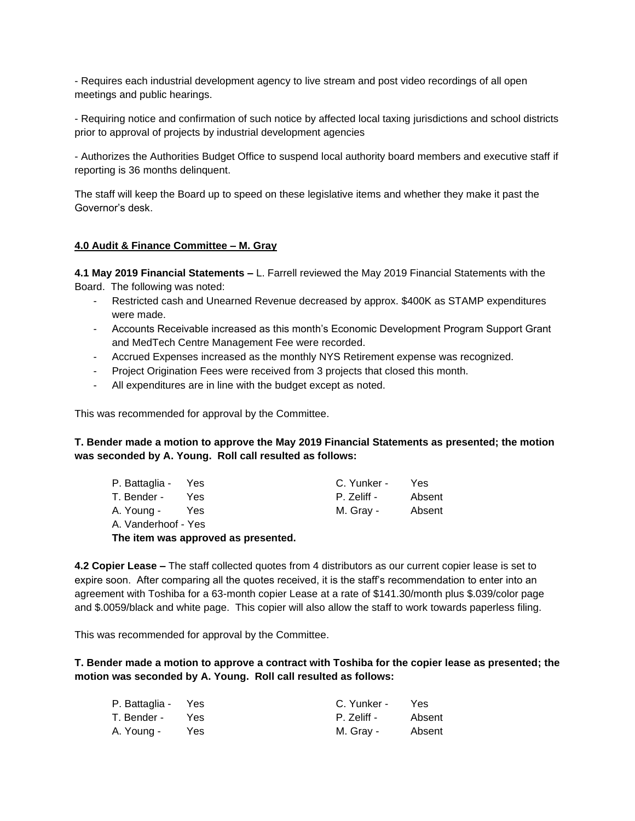- Requires each industrial development agency to live stream and post video recordings of all open meetings and public hearings.

- Requiring notice and confirmation of such notice by affected local taxing jurisdictions and school districts prior to approval of projects by industrial development agencies

- Authorizes the Authorities Budget Office to suspend local authority board members and executive staff if reporting is 36 months delinquent.

The staff will keep the Board up to speed on these legislative items and whether they make it past the Governor's desk.

### **4.0 Audit & Finance Committee – M. Gray**

**4.1 May 2019 Financial Statements –** L. Farrell reviewed the May 2019 Financial Statements with the Board. The following was noted:

- Restricted cash and Unearned Revenue decreased by approx. \$400K as STAMP expenditures were made.
- Accounts Receivable increased as this month's Economic Development Program Support Grant and MedTech Centre Management Fee were recorded.
- Accrued Expenses increased as the monthly NYS Retirement expense was recognized.
- Project Origination Fees were received from 3 projects that closed this month.
- All expenditures are in line with the budget except as noted.

This was recommended for approval by the Committee.

**T. Bender made a motion to approve the May 2019 Financial Statements as presented; the motion was seconded by A. Young. Roll call resulted as follows:**

| P. Battaglia - Yes                  |     | C. Yunker - | Yes    |
|-------------------------------------|-----|-------------|--------|
| T. Bender -                         | Yes | P. Zeliff - | Absent |
| A. Young -                          | Yes | M. Gray -   | Absent |
| A. Vanderhoof - Yes                 |     |             |        |
| The item was approved as presented. |     |             |        |

**4.2 Copier Lease –** The staff collected quotes from 4 distributors as our current copier lease is set to expire soon. After comparing all the quotes received, it is the staff's recommendation to enter into an agreement with Toshiba for a 63-month copier Lease at a rate of \$141.30/month plus \$.039/color page and \$.0059/black and white page. This copier will also allow the staff to work towards paperless filing.

This was recommended for approval by the Committee.

**T. Bender made a motion to approve a contract with Toshiba for the copier lease as presented; the motion was seconded by A. Young. Roll call resulted as follows:**

| P. Battaglia - Yes |      | C. Yunker - | <b>Yes</b> |
|--------------------|------|-------------|------------|
| T. Bender -        | Yes  | P. Zeliff - | Absent     |
| A. Young -         | Yes. | M. Gray -   | Absent     |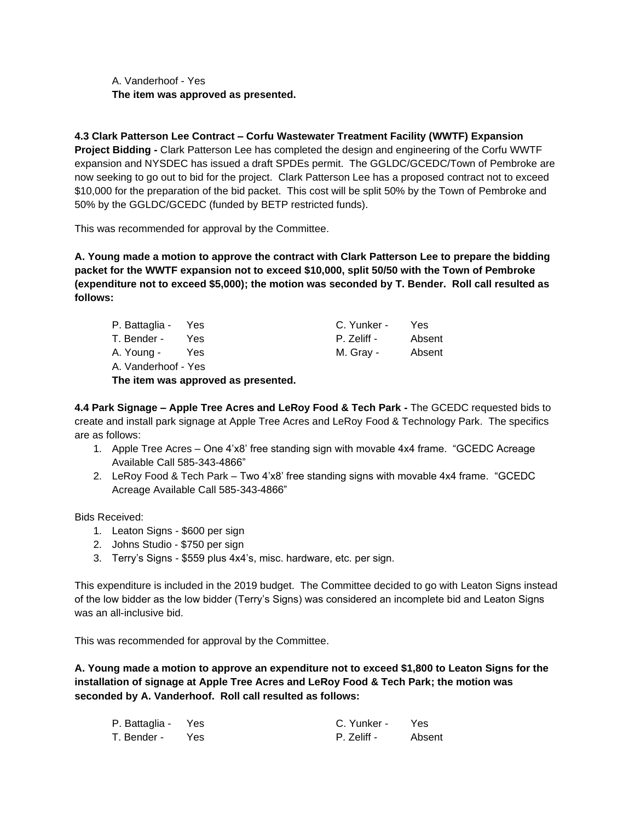A. Vanderhoof - Yes **The item was approved as presented.**

**4.3 Clark Patterson Lee Contract – Corfu Wastewater Treatment Facility (WWTF) Expansion Project Bidding -** Clark Patterson Lee has completed the design and engineering of the Corfu WWTF expansion and NYSDEC has issued a draft SPDEs permit. The GGLDC/GCEDC/Town of Pembroke are now seeking to go out to bid for the project. Clark Patterson Lee has a proposed contract not to exceed \$10,000 for the preparation of the bid packet. This cost will be split 50% by the Town of Pembroke and 50% by the GGLDC/GCEDC (funded by BETP restricted funds).

This was recommended for approval by the Committee.

**A. Young made a motion to approve the contract with Clark Patterson Lee to prepare the bidding packet for the WWTF expansion not to exceed \$10,000, split 50/50 with the Town of Pembroke (expenditure not to exceed \$5,000); the motion was seconded by T. Bender. Roll call resulted as follows:**

| P. Battaglia - Yes  |      | C. Yunker - | Yes    |
|---------------------|------|-------------|--------|
| T. Bender -         | Yes. | P. Zeliff - | Absent |
| A. Young -          | Yes  | M. Gray -   | Absent |
| A. Vanderhoof - Yes |      |             |        |

**The item was approved as presented.**

**4.4 Park Signage – Apple Tree Acres and LeRoy Food & Tech Park -** The GCEDC requested bids to create and install park signage at Apple Tree Acres and LeRoy Food & Technology Park. The specifics are as follows:

- 1. Apple Tree Acres One 4'x8' free standing sign with movable 4x4 frame. "GCEDC Acreage Available Call 585-343-4866"
- 2. LeRoy Food & Tech Park Two 4'x8' free standing signs with movable 4x4 frame. "GCEDC Acreage Available Call 585-343-4866"

Bids Received:

- 1. Leaton Signs \$600 per sign
- 2. Johns Studio \$750 per sign
- 3. Terry's Signs \$559 plus 4x4's, misc. hardware, etc. per sign.

This expenditure is included in the 2019 budget. The Committee decided to go with Leaton Signs instead of the low bidder as the low bidder (Terry's Signs) was considered an incomplete bid and Leaton Signs was an all-inclusive bid.

This was recommended for approval by the Committee.

**A. Young made a motion to approve an expenditure not to exceed \$1,800 to Leaton Signs for the installation of signage at Apple Tree Acres and LeRoy Food & Tech Park; the motion was seconded by A. Vanderhoof. Roll call resulted as follows:**

| P. Battaglia - Yes |       | C. Yunker - | Yes    |
|--------------------|-------|-------------|--------|
| T. Bender -        | - Yes | P. Zeliff - | Absent |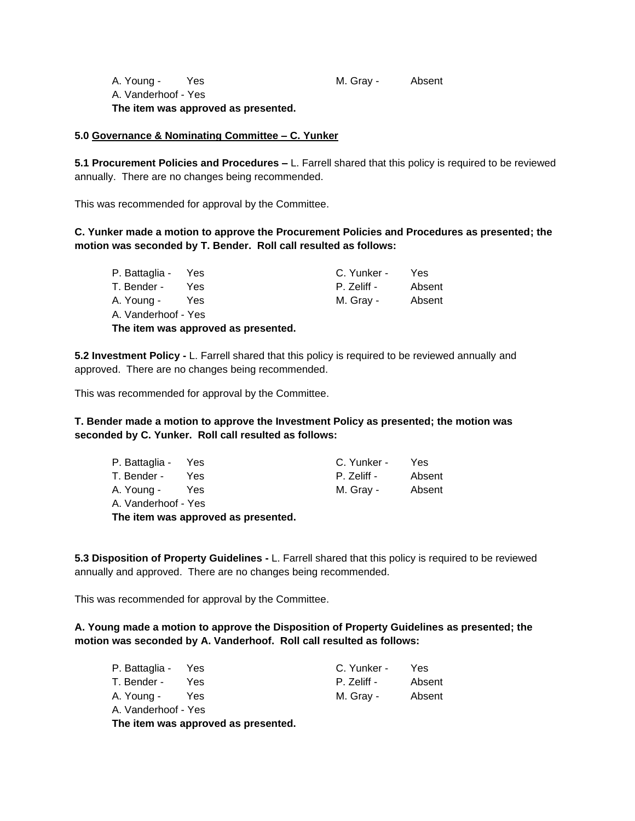A. Young - Yes M. Gray - Absent A. Vanderhoof - Yes **The item was approved as presented.**

**5.0 Governance & Nominating Committee – C. Yunker**

**5.1 Procurement Policies and Procedures –** L. Farrell shared that this policy is required to be reviewed annually. There are no changes being recommended.

This was recommended for approval by the Committee.

# **C. Yunker made a motion to approve the Procurement Policies and Procedures as presented; the motion was seconded by T. Bender. Roll call resulted as follows:**

| P. Battaglia - Yes                  |            | C. Yunker - | Yes    |
|-------------------------------------|------------|-------------|--------|
| T. Bender -                         | Yes.       | P. Zeliff - | Absent |
| A. Young -                          | <b>Yes</b> | M. Gray -   | Absent |
| A. Vanderhoof - Yes                 |            |             |        |
| The item was approved as presented. |            |             |        |

**5.2 Investment Policy -** L. Farrell shared that this policy is required to be reviewed annually and approved. There are no changes being recommended.

This was recommended for approval by the Committee.

# **T. Bender made a motion to approve the Investment Policy as presented; the motion was seconded by C. Yunker. Roll call resulted as follows:**

| P. Battaglia - Yes  |      | C. Yunker - | Yes    |
|---------------------|------|-------------|--------|
| T. Bender -         | Yes. | P. Zeliff - | Absent |
| A. Young -          | Yes  | M. Gray -   | Absent |
| A. Vanderhoof - Yes |      |             |        |

**The item was approved as presented.**

**5.3 Disposition of Property Guidelines -** L. Farrell shared that this policy is required to be reviewed annually and approved. There are no changes being recommended.

This was recommended for approval by the Committee.

## **A. Young made a motion to approve the Disposition of Property Guidelines as presented; the motion was seconded by A. Vanderhoof. Roll call resulted as follows:**

| P. Battaglia - Yes  |                                     | C. Yunker - | Yes    |
|---------------------|-------------------------------------|-------------|--------|
| T. Bender -         | Yes.                                | P. Zeliff - | Absent |
| A. Young -          | Yes                                 | M. Gray -   | Absent |
| A. Vanderhoof - Yes |                                     |             |        |
|                     | The item was approved as presented. |             |        |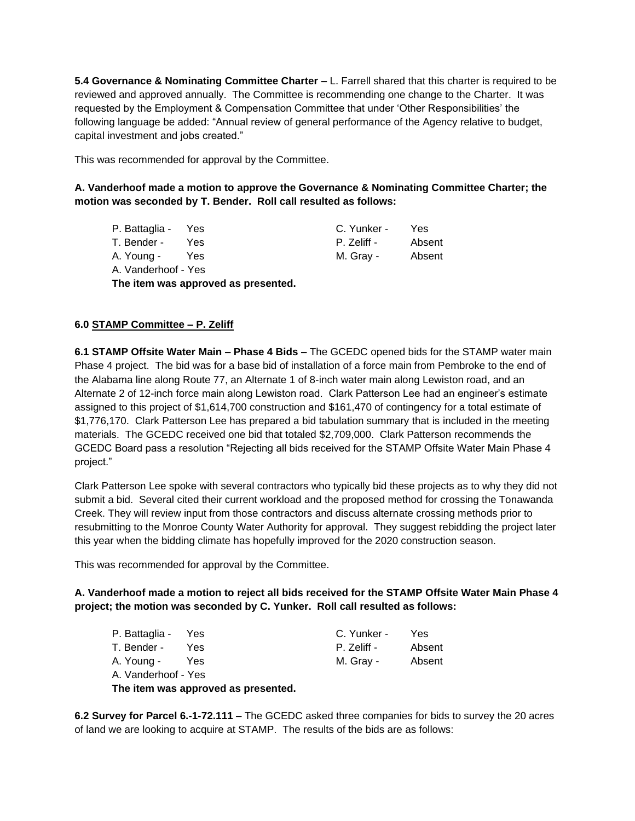**5.4 Governance & Nominating Committee Charter –** L. Farrell shared that this charter is required to be reviewed and approved annually. The Committee is recommending one change to the Charter. It was requested by the Employment & Compensation Committee that under 'Other Responsibilities' the following language be added: "Annual review of general performance of the Agency relative to budget, capital investment and jobs created."

This was recommended for approval by the Committee.

# **A. Vanderhoof made a motion to approve the Governance & Nominating Committee Charter; the motion was seconded by T. Bender. Roll call resulted as follows:**

| P. Battaglia - Yes                  |     | C. Yunker - | Yes    |
|-------------------------------------|-----|-------------|--------|
| T. Bender -                         | Yes | P. Zeliff - | Absent |
| A. Young -                          | Yes | M. Gray -   | Absent |
| A. Vanderhoof - Yes                 |     |             |        |
| The item was approved as presented. |     |             |        |

# **6.0 STAMP Committee – P. Zeliff**

**6.1 STAMP Offsite Water Main – Phase 4 Bids –** The GCEDC opened bids for the STAMP water main Phase 4 project. The bid was for a base bid of installation of a force main from Pembroke to the end of the Alabama line along Route 77, an Alternate 1 of 8-inch water main along Lewiston road, and an Alternate 2 of 12-inch force main along Lewiston road. Clark Patterson Lee had an engineer's estimate assigned to this project of \$1,614,700 construction and \$161,470 of contingency for a total estimate of \$1,776,170. Clark Patterson Lee has prepared a bid tabulation summary that is included in the meeting materials. The GCEDC received one bid that totaled \$2,709,000. Clark Patterson recommends the GCEDC Board pass a resolution "Rejecting all bids received for the STAMP Offsite Water Main Phase 4 project."

Clark Patterson Lee spoke with several contractors who typically bid these projects as to why they did not submit a bid. Several cited their current workload and the proposed method for crossing the Tonawanda Creek. They will review input from those contractors and discuss alternate crossing methods prior to resubmitting to the Monroe County Water Authority for approval. They suggest rebidding the project later this year when the bidding climate has hopefully improved for the 2020 construction season.

This was recommended for approval by the Committee.

# **A. Vanderhoof made a motion to reject all bids received for the STAMP Offsite Water Main Phase 4 project; the motion was seconded by C. Yunker. Roll call resulted as follows:**

| P. Battaglia - Yes                  |     | C. Yunker - | Yes    |
|-------------------------------------|-----|-------------|--------|
| T. Bender -                         | Yes | P. Zeliff - | Absent |
| A. Young -                          | Yes | M. Gray -   | Absent |
| A. Vanderhoof - Yes                 |     |             |        |
| The item was approved as presented. |     |             |        |

**6.2 Survey for Parcel 6.-1-72.111 –** The GCEDC asked three companies for bids to survey the 20 acres of land we are looking to acquire at STAMP. The results of the bids are as follows: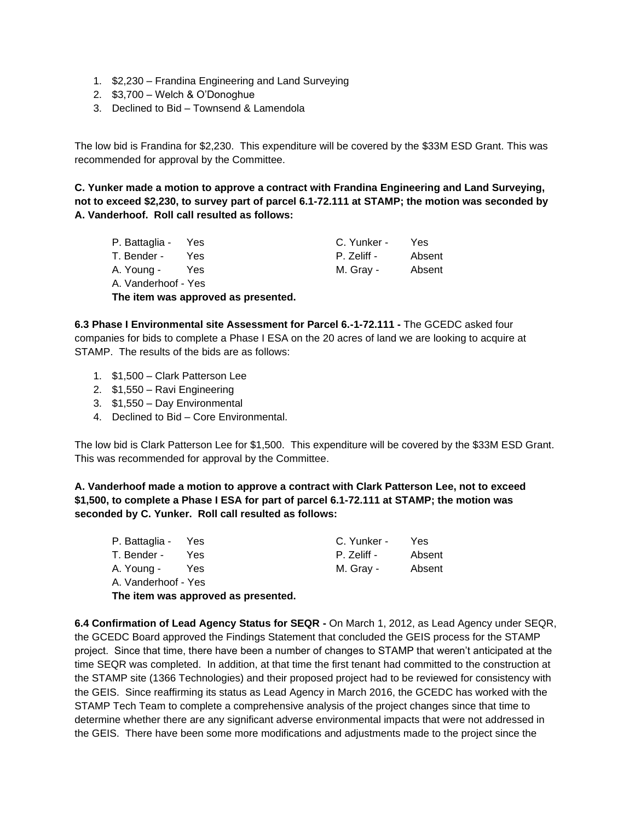- 1. \$2,230 Frandina Engineering and Land Surveying
- 2. \$3,700 Welch & O'Donoghue
- 3. Declined to Bid Townsend & Lamendola

The low bid is Frandina for \$2,230. This expenditure will be covered by the \$33M ESD Grant. This was recommended for approval by the Committee.

**C. Yunker made a motion to approve a contract with Frandina Engineering and Land Surveying, not to exceed \$2,230, to survey part of parcel 6.1-72.111 at STAMP; the motion was seconded by A. Vanderhoof. Roll call resulted as follows:**

| P. Battaglia - Yes                  |            | C. Yunker - | Yes    |  |  |
|-------------------------------------|------------|-------------|--------|--|--|
| T. Bender -                         | <b>Yes</b> | P. Zeliff - | Absent |  |  |
| A. Young -                          | Yes        | M. Gray -   | Absent |  |  |
| A. Vanderhoof - Yes                 |            |             |        |  |  |
| The item was approved as presented. |            |             |        |  |  |

**6.3 Phase I Environmental site Assessment for Parcel 6.-1-72.111 -** The GCEDC asked four companies for bids to complete a Phase I ESA on the 20 acres of land we are looking to acquire at STAMP. The results of the bids are as follows:

- 1. \$1,500 Clark Patterson Lee
- 2. \$1,550 Ravi Engineering
- 3. \$1,550 Day Environmental
- 4. Declined to Bid Core Environmental.

The low bid is Clark Patterson Lee for \$1,500. This expenditure will be covered by the \$33M ESD Grant. This was recommended for approval by the Committee.

**A. Vanderhoof made a motion to approve a contract with Clark Patterson Lee, not to exceed \$1,500, to complete a Phase I ESA for part of parcel 6.1-72.111 at STAMP; the motion was seconded by C. Yunker. Roll call resulted as follows:**

| P. Battaglia - Yes                  |     | C. Yunker - | Yes    |  |
|-------------------------------------|-----|-------------|--------|--|
| T. Bender -                         | Yes | P. Zeliff - | Absent |  |
| A. Young -                          | Yes | M. Gray -   | Absent |  |
| A. Vanderhoof - Yes                 |     |             |        |  |
| The item was approved as presented. |     |             |        |  |

**6.4 Confirmation of Lead Agency Status for SEQR -** On March 1, 2012, as Lead Agency under SEQR, the GCEDC Board approved the Findings Statement that concluded the GEIS process for the STAMP project. Since that time, there have been a number of changes to STAMP that weren't anticipated at the time SEQR was completed. In addition, at that time the first tenant had committed to the construction at the STAMP site (1366 Technologies) and their proposed project had to be reviewed for consistency with the GEIS. Since reaffirming its status as Lead Agency in March 2016, the GCEDC has worked with the STAMP Tech Team to complete a comprehensive analysis of the project changes since that time to determine whether there are any significant adverse environmental impacts that were not addressed in the GEIS. There have been some more modifications and adjustments made to the project since the